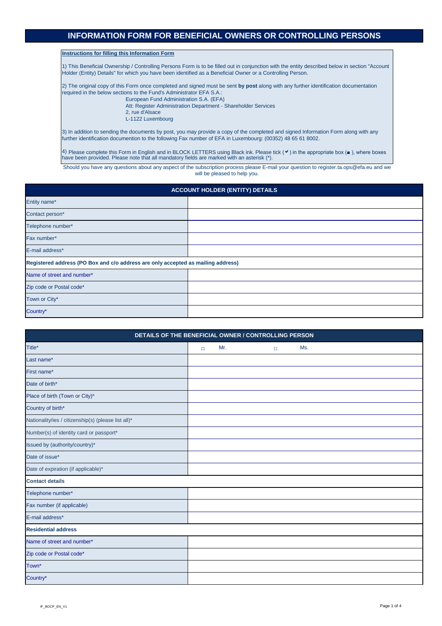**Instructions for filling this Information Form**

1) This Beneficial Ownership / Controlling Persons Form is to be filled out in conjunction with the entity described below in section "Account Holder (Entity) Details" for which you have been identified as a Beneficial Owner or a Controlling Person.

2) The original copy of this Form once completed and signed must be sent **by post** along with any further identification documentation required in the below sections to the Fund's Administrator EFA S.A.:

4) Please complete this Form in English and in BLOCK LETTERS using Black ink. Please tick ( $\checkmark$ ) in the appropriate box ( $\bullet$ ), where boxes have been provided. Please note that all mandatory fields are marked with an asterisk (\*).

European Fund Administration S.A. (EFA)

 Att: Register Administration Department - Shareholder Services 2, rue d'Alsace

L-1122 Luxembourg

3) In addition to sending the documents by post, you may provide a copy of the completed and signed Information Form along with any further identification documention to the following Fax number of EFA in Luxembourg: (00352) 48 65 61 8002.

| <b>ACCOUNT HOLDER (ENTITY) DETAILS</b>                                           |  |  |  |  |
|----------------------------------------------------------------------------------|--|--|--|--|
| Entity name*                                                                     |  |  |  |  |
| Contact person*                                                                  |  |  |  |  |
| Telephone number*                                                                |  |  |  |  |
| Fax number*                                                                      |  |  |  |  |
| E-mail address*                                                                  |  |  |  |  |
| Registered address (PO Box and c/o address are only accepted as mailing address) |  |  |  |  |
| Name of street and number*                                                       |  |  |  |  |
| Zip code or Postal code*                                                         |  |  |  |  |
| Town or City*                                                                    |  |  |  |  |
| Country*                                                                         |  |  |  |  |

| DETAILS OF THE BENEFICIAL OWNER / CONTROLLING PERSON |  |     |  |  |     |  |  |
|------------------------------------------------------|--|-----|--|--|-----|--|--|
| Title*                                               |  | Mr. |  |  | Ms. |  |  |
| Last name*                                           |  |     |  |  |     |  |  |

Should you have any questions about any aspect of the subscription process please E-mail your question to register.ta.ops@efa.eu and we will be pleased to help you.

| First name*                                         |  |
|-----------------------------------------------------|--|
| Date of birth*                                      |  |
| Place of birth (Town or City)*                      |  |
| Country of birth*                                   |  |
| Nationality/ies / citizenship(s) (please list all)* |  |
| Number(s) of identity card or passport*             |  |
| Issued by (authority/country)*                      |  |
| Date of issue*                                      |  |
| Date of expiration (if applicable)*                 |  |
| <b>Contact details</b>                              |  |
| Telephone number*                                   |  |
| Fax number (if applicable)                          |  |
| E-mail address*                                     |  |
| <b>Residential address</b>                          |  |
| Name of street and number*                          |  |
| Zip code or Postal code*                            |  |
|                                                     |  |
| Town*                                               |  |

# **INFORMATION FORM FOR BENEFICIAL OWNERS OR CONTROLLING PERSONS**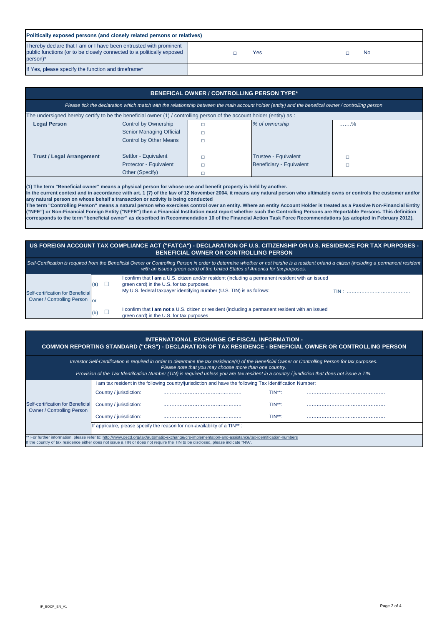# **US FOREIGN ACCOUNT TAX COMPLIANCE ACT ("FATCA") - DECLARATION OF U.S. CITIZENSHIP OR U.S. RESIDENCE FOR TAX PURPOSES - BENEFICIAL OWNER OR CONTROLLING PERSON**

|                                                                    |                          | Self-Certification is required from the Beneficial Owner or Controlling Person in order to determine whether or not he/she is a resident or/and a citizen (including a permanent resident<br>with an issued green card) of the United States of America for tax purposes. |  |
|--------------------------------------------------------------------|--------------------------|---------------------------------------------------------------------------------------------------------------------------------------------------------------------------------------------------------------------------------------------------------------------------|--|
| Self-certification for Beneficial<br>Owner / Controlling Person or | (a)                      | I confirm that I am a U.S. citizen and/or resident (including a permanent resident with an issued<br>green card) in the U.S. for tax purposes.<br>My U.S. federal taxpayer identifying number (U.S. TIN) is as follows:                                                   |  |
|                                                                    | $\mathsf{I}(\mathsf{b})$ | I confirm that I am not a U.S. citizen or resident (including a permanent resident with an issued<br>green card) in the U.S. for tax purposes                                                                                                                             |  |

| BENEFICAL OWNER / CONTROLLING PERSON TYPE*                                                                                                          |                                 |  |                             |     |  |
|-----------------------------------------------------------------------------------------------------------------------------------------------------|---------------------------------|--|-----------------------------|-----|--|
| Please tick the declaration which match with the relationship between the main account holder (entity) and the benefical owner / controlling person |                                 |  |                             |     |  |
| The undersigned hereby certify to be the beneficial owner (1) / controlling person of the account holder (entity) as :                              |                                 |  |                             |     |  |
| <b>Legal Person</b>                                                                                                                                 | <b>Control by Ownership</b>     |  | % of ownership              | . % |  |
|                                                                                                                                                     | <b>Senior Managing Official</b> |  |                             |     |  |
|                                                                                                                                                     | <b>Control by Other Means</b>   |  |                             |     |  |
|                                                                                                                                                     |                                 |  |                             |     |  |
| <b>Trust / Legal Arrangement</b>                                                                                                                    | Settlor - Equivalent            |  | <b>Trustee - Equivalent</b> |     |  |
|                                                                                                                                                     | Protector - Equivalent          |  | Beneficiary - Equivalent    |     |  |
|                                                                                                                                                     | Other (Specify)                 |  |                             |     |  |
|                                                                                                                                                     |                                 |  |                             |     |  |

| Politically exposed persons (and closely related persons or relatives)                                                                                  |  |     |  |           |  |
|---------------------------------------------------------------------------------------------------------------------------------------------------------|--|-----|--|-----------|--|
| I hereby declare that I am or I have been entrusted with prominent<br>public functions (or to be closely connected to a politically exposed<br>person)* |  | Yes |  | <b>No</b> |  |
| If Yes, please specify the function and timeframe*                                                                                                      |  |     |  |           |  |

## **INTERNATIONAL EXCHANGE OF FISCAL INFORMATION -**

|                                                                                                                                                                                                                                                                                         |                         | <b>FIGASE HOLE that you may choose more than one country.</b><br>Provision of the Tax Identifcation Number (TIN) is required unless you are tax resident in a country / juridiction that does not issue a TIN. |              |  |
|-----------------------------------------------------------------------------------------------------------------------------------------------------------------------------------------------------------------------------------------------------------------------------------------|-------------------------|----------------------------------------------------------------------------------------------------------------------------------------------------------------------------------------------------------------|--------------|--|
|                                                                                                                                                                                                                                                                                         |                         | am tax resident in the following country/jurisdiction and have the following Tax Identification Number:                                                                                                        |              |  |
|                                                                                                                                                                                                                                                                                         | Country / jurisdiction: |                                                                                                                                                                                                                | $TIN^{**}$ : |  |
| Self-certification for Beneficial<br>Owner / Controlling Person                                                                                                                                                                                                                         | Country / jurisdiction: |                                                                                                                                                                                                                | $TIN^{**}$ : |  |
|                                                                                                                                                                                                                                                                                         | Country / jurisdiction: |                                                                                                                                                                                                                | $TIN^{**}$ : |  |
|                                                                                                                                                                                                                                                                                         |                         | If applicable, please specify the reason for non-availability of a TIN <sup>**</sup> :                                                                                                                         |              |  |
| ** For further information, please refer to: http://www.oecd.org/tax/automatic-exchange/crs-implementation-and-assistance/tax-identification-numbers<br>If the country of tax residence either does not issue a TIN or does not require the TIN to be disclosed, please indicate "N/A". |                         |                                                                                                                                                                                                                |              |  |

**COMMON REPORTING STANDARD ("CRS") - DECLARATION OF TAX RESIDENCE - BENEFICIAL OWNER OR CONTROLLING PERSON**

*Investor Self-Certification is required in order to determine the tax residence(s) of the Beneficial Owner or Controlling Person for tax purposes. Please note that you may choose more than one country.*

**(1) The term "Beneficial owner" means a physical person for whose use and benefit property is held by another.** 

**In the current context and in accordance with art. 1 (7) of the law of 12 November 2004, it means any natural person who ultimately owns or controls the customer and/or any natural person on whose behalf a transaction or activity is being conducted**

**The term "Controlling Person" means a natural person who exercises control over an entity. Where an entity Account Holder is treated as a Passive Non-Financial Entity**  ("NFE") or Non-Financial Foreign Entity ("NFFE") then a Financial Institution must report whether such the Controlling Persons are Reportable Persons. This definition **corresponds to the term "beneficial owner" as described in Recommendation 10 of the Financial Action Task Force Recommendations (as adopted in February 2012).**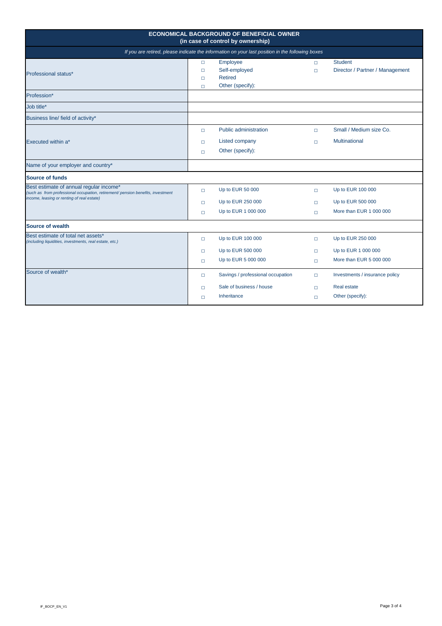| <b>ECONOMICAL BACKGROUND OF BENEFICIAL OWNER</b><br>(in case of control by ownership)                                                                                    |                                                                                                  |                                                                              |                            |                                                                          |  |  |
|--------------------------------------------------------------------------------------------------------------------------------------------------------------------------|--------------------------------------------------------------------------------------------------|------------------------------------------------------------------------------|----------------------------|--------------------------------------------------------------------------|--|--|
|                                                                                                                                                                          | If you are retired, please indicate the information on your last position in the following boxes |                                                                              |                            |                                                                          |  |  |
| <b>Professional status*</b>                                                                                                                                              | $\Box$<br>$\Box$<br>$\Box$<br>$\Box$                                                             | Employee<br>Self-employed<br><b>Retired</b><br>Other (specify):              | $\Box$<br>$\Box$           | <b>Student</b><br>Director / Partner / Management                        |  |  |
| Profession*                                                                                                                                                              |                                                                                                  |                                                                              |                            |                                                                          |  |  |
| Job title*                                                                                                                                                               |                                                                                                  |                                                                              |                            |                                                                          |  |  |
| Business line/ field of activity*                                                                                                                                        |                                                                                                  |                                                                              |                            |                                                                          |  |  |
| <b>Executed within a*</b>                                                                                                                                                | $\Box$<br>$\Box$<br>$\Box$                                                                       | <b>Public administration</b><br>Listed company<br>Other (specify):           | $\Box$<br>$\Box$           | Small / Medium size Co.<br><b>Multinational</b>                          |  |  |
| Name of your employer and country*<br><b>Source of funds</b>                                                                                                             |                                                                                                  |                                                                              |                            |                                                                          |  |  |
| Best estimate of annual regular income*<br>(such as from professional occupation, retirement/ pension benefits, investment<br>income, leasing or renting of real estate) | $\Box$<br>$\Box$<br>$\Box$                                                                       | Up to EUR 50 000<br>Up to EUR 250 000<br>Up to EUR 1 000 000                 | $\Box$<br>$\Box$<br>$\Box$ | Up to EUR 100 000<br>Up to EUR 500 000<br>More than EUR 1 000 000        |  |  |
| <b>Source of wealth</b>                                                                                                                                                  |                                                                                                  |                                                                              |                            |                                                                          |  |  |
| Best estimate of total net assets*<br>(including liquidities, investments, real estate, etc.)                                                                            | $\Box$<br>$\Box$<br>$\Box$                                                                       | Up to EUR 100 000<br>Up to EUR 500 000<br>Up to EUR 5 000 000                | $\Box$<br>$\Box$<br>$\Box$ | Up to EUR 250 000<br>Up to EUR 1 000 000<br>More than EUR 5 000 000      |  |  |
| Source of wealth*                                                                                                                                                        | $\Box$<br>$\Box$<br>$\Box$                                                                       | Savings / professional occupation<br>Sale of business / house<br>Inheritance | $\Box$<br>$\Box$<br>$\Box$ | Investments / insurance policy<br><b>Real estate</b><br>Other (specify): |  |  |